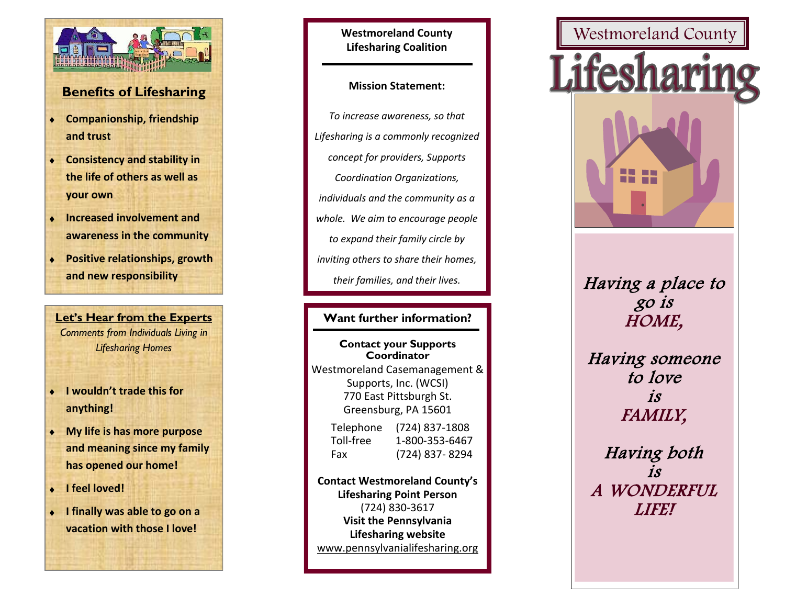

# **Benefits of Lifesharing**

- **Companionship, friendship and trust**
- **Consistency and stability in the life of others as well as your own**
- **Increased involvement and awareness in the community**
- **Positive relationships, growth and new responsibility**

**Let's Hear from the Experts** *Comments from Individuals Living in Lifesharing Homes*

- **I wouldn't trade this for anything!**
- **My life is has more purpose and meaning since my family has opened our home!**
- **I feel loved!**
- **I finally was able to go on a vacation with those I love!**

**Westmoreland County Lifesharing Coalition**

### **Mission Statement:**

*To increase awareness, so that Lifesharing is a commonly recognized concept for providers, Supports Coordination Organizations, individuals and the community as a whole. We aim to encourage people to expand their family circle by inviting others to share their homes, their families, and their lives.*

# **Want further information?**

**Contact your Supports Coordinator** Westmoreland Casemanagement & Supports, Inc. (WCSI) 770 East Pittsburgh St. Greensburg, PA 15601

| Telephone | $(724)$ 837-1808 |
|-----------|------------------|
| Toll-free | 1-800-353-6467   |
| Fax       | (724) 837-8294   |

**Westmoreland County BH/DS** (724) 830 -3617 **Visit the Pennsylvania Lifesharing website** www.pennsylvanialifesharing.org **Contact Westmoreland County's Lifesharing Point Person**

# Westmoreland County Lifesha

Having a place to go is HOME,

**-3571** Having someone to love is FAMILY,

Having both is A WONDERFUL LIFE!